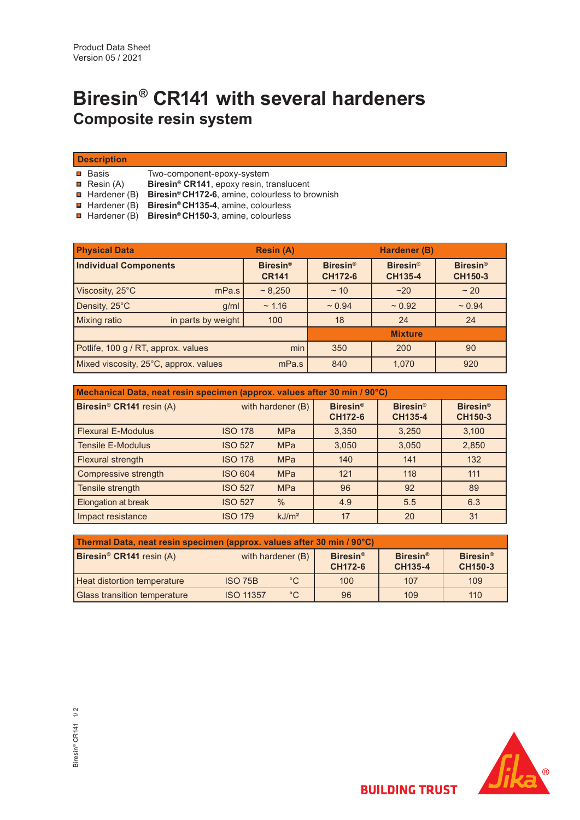# **Biresin® CR141 with several hardeners Composite resin system**

| <b>Description</b> |  |  |
|--------------------|--|--|
|                    |  |  |

 $\blacksquare$  Basis Two-component-epoxy-system

**R**esin (A)

 Hardener (B) **Biresin® CH172-6**, amine, colourless to brownish **Biresin® CR141**, epoxy resin, translucent

- Hardener (B) **Biresin® CH135-4**, amine, colourless
- Hardener (B) **Biresin® CH150-3**, amine, colourless

| <b>Physical Data</b>                           |                    | <b>Resin (A)</b>                | Hardener (B)                      |                                   |                            |
|------------------------------------------------|--------------------|---------------------------------|-----------------------------------|-----------------------------------|----------------------------|
| <b>Individual Components</b>                   |                    | <b>Biresin®</b><br><b>CR141</b> | <b>Biresin®</b><br><b>CH172-6</b> | <b>Biresin®</b><br><b>CH135-4</b> | <b>Biresin®</b><br>CH150-3 |
| Viscosity, 25°C                                | mPa.s              | ~8,250                          | $~\sim$ 10                        | ~20                               | ~20                        |
| Density, 25°C                                  | q/ml               | ~1.16                           | $~1$ 0.94                         | ~10.92                            | ~10.94                     |
| <b>Mixing ratio</b>                            | in parts by weight | 100                             | 18                                | 24                                | 24                         |
|                                                | <b>Mixture</b>     |                                 |                                   |                                   |                            |
| Potlife, 100 g / RT, approx. values            |                    | min                             | 350                               | 200                               | 90                         |
| Mixed viscosity, 25°C, approx. values<br>mPa.s |                    | 840                             | 1.070                             | 920                               |                            |

| Mechanical Data, neat resin specimen (approx. values after 30 min / 90°C) |                   |                   |                                   |                                        |                                   |  |
|---------------------------------------------------------------------------|-------------------|-------------------|-----------------------------------|----------------------------------------|-----------------------------------|--|
| Biresin <sup>®</sup> CR141 resin (A)                                      | with hardener (B) |                   | <b>Biresin®</b><br><b>CH172-6</b> | Biresin <sup>®</sup><br><b>CH135-4</b> | <b>Biresin®</b><br><b>CH150-3</b> |  |
| <b>Flexural E-Modulus</b>                                                 | <b>ISO 178</b>    | <b>MPa</b>        | 3,350                             | 3,250                                  | 3,100                             |  |
| <b>Tensile E-Modulus</b>                                                  | <b>ISO 527</b>    | <b>MPa</b>        | 3,050                             | 3,050                                  | 2,850                             |  |
| <b>Flexural strength</b>                                                  | <b>ISO 178</b>    | <b>MPa</b>        | 140                               | 141                                    | 132                               |  |
| Compressive strength                                                      | <b>ISO 604</b>    | <b>MPa</b>        | 121                               | 118                                    | 111                               |  |
| Tensile strength                                                          | <b>ISO 527</b>    | <b>MPa</b>        | 96                                | 92                                     | 89                                |  |
| Elongation at break                                                       | <b>ISO 527</b>    | $\%$              | 4.9                               | 5.5                                    | 6.3                               |  |
| Impact resistance                                                         | <b>ISO 179</b>    | kJ/m <sup>2</sup> | 17                                | 20                                     | 31                                |  |

| Thermal Data, neat resin specimen (approx. values after 30 min / 90°C) |                   |              |                                   |                                 |                                       |  |
|------------------------------------------------------------------------|-------------------|--------------|-----------------------------------|---------------------------------|---------------------------------------|--|
| Biresin <sup>®</sup> CR141 resin (A)                                   | with hardener (B) |              | <b>Biresin®</b><br><b>CH172-6</b> | Biresin <sup>®</sup><br>CH135-4 | <b>Biresin<sup>®</sup></b><br>CH150-3 |  |
| <b>Heat distortion temperature</b>                                     | <b>ISO 75B</b>    | $^{\circ}$ C | 100                               | 107                             | 109                                   |  |
| <b>Glass transition temperature</b>                                    | <b>ISO 11357</b>  | $^{\circ}C$  | 96                                | 109                             | 110                                   |  |